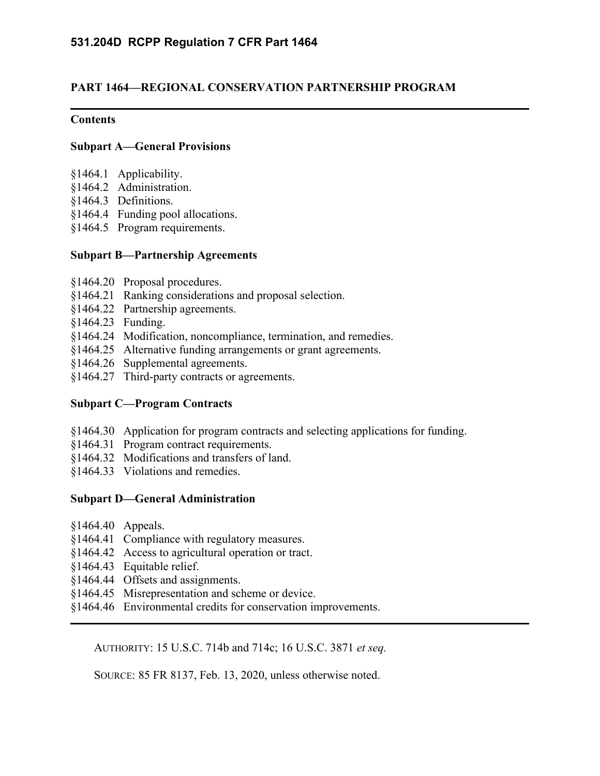## **PART 1464—REGIONAL CONSERVATION PARTNERSHIP PROGRAM**

## **Contents**

## **[Subpart A—General Provisions](https://www.ecfr.gov/cgi-bin/text-idx?SID=50987c48f65694f49789350e2c57ec20&mc=true&node=pt7.10.1464&rgn=div5#sp7.10.1464.a)**

- [§1464.1 Applicability.](https://www.ecfr.gov/cgi-bin/text-idx?SID=50987c48f65694f49789350e2c57ec20&mc=true&node=pt7.10.1464&rgn=div5#se7.10.1464_11)
- [§1464.2 Administration.](https://www.ecfr.gov/cgi-bin/text-idx?SID=50987c48f65694f49789350e2c57ec20&mc=true&node=pt7.10.1464&rgn=div5#se7.10.1464_12)
- [§1464.3 Definitions.](https://www.ecfr.gov/cgi-bin/text-idx?SID=50987c48f65694f49789350e2c57ec20&mc=true&node=pt7.10.1464&rgn=div5#se7.10.1464_13)
- [§1464.4 Funding pool allocations.](https://www.ecfr.gov/cgi-bin/text-idx?SID=50987c48f65694f49789350e2c57ec20&mc=true&node=pt7.10.1464&rgn=div5#se7.10.1464_14)
- [§1464.5 Program requirements.](https://www.ecfr.gov/cgi-bin/text-idx?SID=50987c48f65694f49789350e2c57ec20&mc=true&node=pt7.10.1464&rgn=div5#se7.10.1464_15)

## **[Subpart B—Partnership Agreements](https://www.ecfr.gov/cgi-bin/text-idx?SID=50987c48f65694f49789350e2c57ec20&mc=true&node=pt7.10.1464&rgn=div5#sp7.10.1464.b)**

- [§1464.20 Proposal procedures.](https://www.ecfr.gov/cgi-bin/text-idx?SID=50987c48f65694f49789350e2c57ec20&mc=true&node=pt7.10.1464&rgn=div5#se7.10.1464_120)
- [§1464.21 Ranking considerations and proposal selection.](https://www.ecfr.gov/cgi-bin/text-idx?SID=50987c48f65694f49789350e2c57ec20&mc=true&node=pt7.10.1464&rgn=div5#se7.10.1464_121)
- [§1464.22 Partnership agreements.](https://www.ecfr.gov/cgi-bin/text-idx?SID=50987c48f65694f49789350e2c57ec20&mc=true&node=pt7.10.1464&rgn=div5#se7.10.1464_122)
- [§1464.23 Funding.](https://www.ecfr.gov/cgi-bin/text-idx?SID=50987c48f65694f49789350e2c57ec20&mc=true&node=pt7.10.1464&rgn=div5#se7.10.1464_123)
- [§1464.24 Modification, noncompliance, termination, and remedies.](https://www.ecfr.gov/cgi-bin/text-idx?SID=50987c48f65694f49789350e2c57ec20&mc=true&node=pt7.10.1464&rgn=div5#se7.10.1464_124)
- [§1464.25 Alternative funding arrangements or grant agreements.](https://www.ecfr.gov/cgi-bin/text-idx?SID=50987c48f65694f49789350e2c57ec20&mc=true&node=pt7.10.1464&rgn=div5#se7.10.1464_125)
- [§1464.26 Supplemental agreements.](https://www.ecfr.gov/cgi-bin/text-idx?SID=50987c48f65694f49789350e2c57ec20&mc=true&node=pt7.10.1464&rgn=div5#se7.10.1464_126)
- [§1464.27 Third-party contracts or agreements.](https://www.ecfr.gov/cgi-bin/text-idx?SID=50987c48f65694f49789350e2c57ec20&mc=true&node=pt7.10.1464&rgn=div5#se7.10.1464_127)

## **[Subpart C—Program Contracts](https://www.ecfr.gov/cgi-bin/text-idx?SID=50987c48f65694f49789350e2c57ec20&mc=true&node=pt7.10.1464&rgn=div5#sp7.10.1464.c)**

- [§1464.30 Application for program contracts and selecting applications for funding.](https://www.ecfr.gov/cgi-bin/text-idx?SID=50987c48f65694f49789350e2c57ec20&mc=true&node=pt7.10.1464&rgn=div5#se7.10.1464_130)
- [§1464.31 Program contract requirements.](https://www.ecfr.gov/cgi-bin/text-idx?SID=50987c48f65694f49789350e2c57ec20&mc=true&node=pt7.10.1464&rgn=div5#se7.10.1464_131)
- [§1464.32 Modifications and transfers of land.](https://www.ecfr.gov/cgi-bin/text-idx?SID=50987c48f65694f49789350e2c57ec20&mc=true&node=pt7.10.1464&rgn=div5#se7.10.1464_132)
- [§1464.33 Violations and remedies.](https://www.ecfr.gov/cgi-bin/text-idx?SID=50987c48f65694f49789350e2c57ec20&mc=true&node=pt7.10.1464&rgn=div5#se7.10.1464_133)

## **[Subpart D—General Administration](https://www.ecfr.gov/cgi-bin/text-idx?SID=50987c48f65694f49789350e2c57ec20&mc=true&node=pt7.10.1464&rgn=div5#sp7.10.1464.d)**

- [§1464.40 Appeals.](https://www.ecfr.gov/cgi-bin/text-idx?SID=50987c48f65694f49789350e2c57ec20&mc=true&node=pt7.10.1464&rgn=div5#se7.10.1464_140)
- [§1464.41 Compliance with regulatory measures.](https://www.ecfr.gov/cgi-bin/text-idx?SID=50987c48f65694f49789350e2c57ec20&mc=true&node=pt7.10.1464&rgn=div5#se7.10.1464_141)
- [§1464.42 Access to agricultural operation or tract.](https://www.ecfr.gov/cgi-bin/text-idx?SID=50987c48f65694f49789350e2c57ec20&mc=true&node=pt7.10.1464&rgn=div5#se7.10.1464_142)
- [§1464.43 Equitable relief.](https://www.ecfr.gov/cgi-bin/text-idx?SID=50987c48f65694f49789350e2c57ec20&mc=true&node=pt7.10.1464&rgn=div5#se7.10.1464_143)
- [§1464.44 Offsets and assignments.](https://www.ecfr.gov/cgi-bin/text-idx?SID=50987c48f65694f49789350e2c57ec20&mc=true&node=pt7.10.1464&rgn=div5#se7.10.1464_144)
- [§1464.45 Misrepresentation and scheme or device.](https://www.ecfr.gov/cgi-bin/text-idx?SID=50987c48f65694f49789350e2c57ec20&mc=true&node=pt7.10.1464&rgn=div5#se7.10.1464_145)
- [§1464.46 Environmental credits for conservation improvements.](https://www.ecfr.gov/cgi-bin/text-idx?SID=50987c48f65694f49789350e2c57ec20&mc=true&node=pt7.10.1464&rgn=div5#se7.10.1464_146)

AUTHORITY: 15 U.S.C. 714b and 714c; 16 U.S.C. 3871 *et seq.*

SOURCE: 85 FR 8137, Feb. 13, 2020, unless otherwise noted.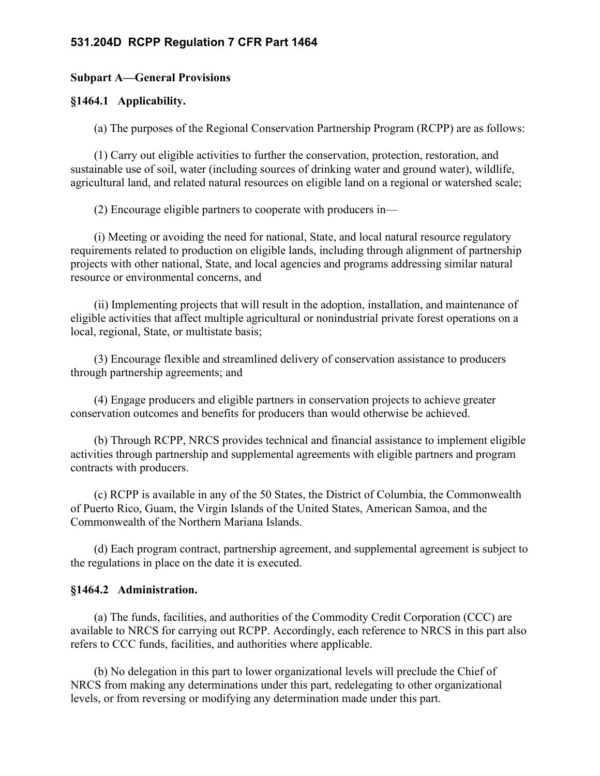#### **Subpart A—General Provisions**

#### **§1464.1 Applicability.**

(a) The purposes of the Regional Conservation Partnership Program (RCPP) are as follows:

(1) Carry out eligible activities to further the conservation, protection, restoration, and sustainable use of soil, water (including sources of drinking water and ground water), wildlife, agricultural land, and related natural resources on eligible land on a regional or watershed scale;

(2) Encourage eligible partners to cooperate with producers in—

(i) Meeting or avoiding the need for national, State, and local natural resource regulatory requirements related to production on eligible lands, including through alignment of partnership projects with other national, State, and local agencies and programs addressing similar natural resource or environmental concerns, and

(ii) Implementing projects that will result in the adoption, installation, and maintenance of eligible activities that affect multiple agricultural or nonindustrial private forest operations on a local, regional, State, or multistate basis;

(3) Encourage flexible and streamlined delivery of conservation assistance to producers through partnership agreements; and

(4) Engage producers and eligible partners in conservation projects to achieve greater conservation outcomes and benefits for producers than would otherwise be achieved.

(b) Through RCPP, NRCS provides technical and financial assistance to implement eligible activities through partnership and supplemental agreements with eligible partners and program contracts with producers.

(c) RCPP is available in any of the 50 States, the District of Columbia, the Commonwealth of Puerto Rico, Guam, the Virgin Islands of the United States, American Samoa, and the Commonwealth of the Northern Mariana Islands.

(d) Each program contract, partnership agreement, and supplemental agreement is subject to the regulations in place on the date it is executed.

#### **§1464.2 Administration.**

(a) The funds, facilities, and authorities of the Commodity Credit Corporation (CCC) are available to NRCS for carrying out RCPP. Accordingly, each reference to NRCS in this part also refers to CCC funds, facilities, and authorities where applicable.

(b) No delegation in this part to lower organizational levels will preclude the Chief of NRCS from making any determinations under this part, redelegating to other organizational levels, or from reversing or modifying any determination made under this part.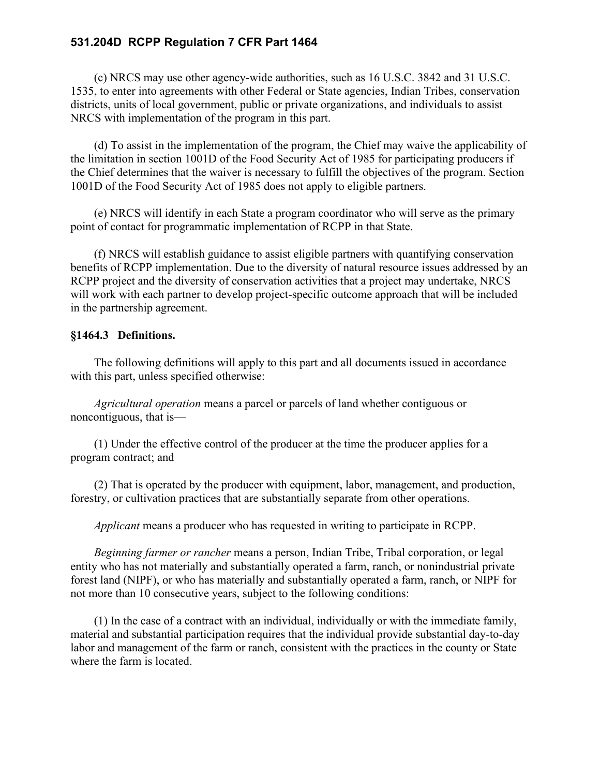(c) NRCS may use other agency-wide authorities, such as 16 U.S.C. 3842 and 31 U.S.C. 1535, to enter into agreements with other Federal or State agencies, Indian Tribes, conservation districts, units of local government, public or private organizations, and individuals to assist NRCS with implementation of the program in this part.

(d) To assist in the implementation of the program, the Chief may waive the applicability of the limitation in section 1001D of the Food Security Act of 1985 for participating producers if the Chief determines that the waiver is necessary to fulfill the objectives of the program. Section 1001D of the Food Security Act of 1985 does not apply to eligible partners.

(e) NRCS will identify in each State a program coordinator who will serve as the primary point of contact for programmatic implementation of RCPP in that State.

(f) NRCS will establish guidance to assist eligible partners with quantifying conservation benefits of RCPP implementation. Due to the diversity of natural resource issues addressed by an RCPP project and the diversity of conservation activities that a project may undertake, NRCS will work with each partner to develop project-specific outcome approach that will be included in the partnership agreement.

## **§1464.3 Definitions.**

The following definitions will apply to this part and all documents issued in accordance with this part, unless specified otherwise:

*Agricultural operation* means a parcel or parcels of land whether contiguous or noncontiguous, that is—

(1) Under the effective control of the producer at the time the producer applies for a program contract; and

(2) That is operated by the producer with equipment, labor, management, and production, forestry, or cultivation practices that are substantially separate from other operations.

*Applicant* means a producer who has requested in writing to participate in RCPP.

*Beginning farmer or rancher* means a person, Indian Tribe, Tribal corporation, or legal entity who has not materially and substantially operated a farm, ranch, or nonindustrial private forest land (NIPF), or who has materially and substantially operated a farm, ranch, or NIPF for not more than 10 consecutive years, subject to the following conditions:

(1) In the case of a contract with an individual, individually or with the immediate family, material and substantial participation requires that the individual provide substantial day-to-day labor and management of the farm or ranch, consistent with the practices in the county or State where the farm is located.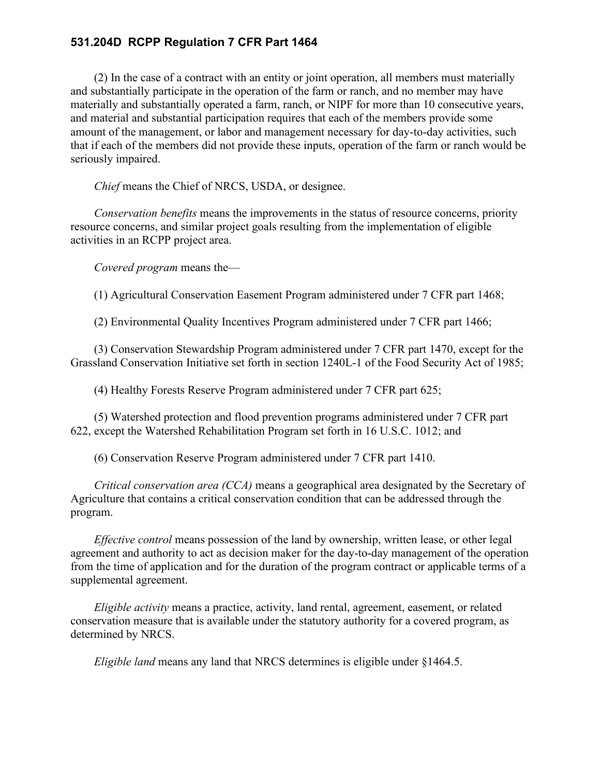(2) In the case of a contract with an entity or joint operation, all members must materially and substantially participate in the operation of the farm or ranch, and no member may have materially and substantially operated a farm, ranch, or NIPF for more than 10 consecutive years, and material and substantial participation requires that each of the members provide some amount of the management, or labor and management necessary for day-to-day activities, such that if each of the members did not provide these inputs, operation of the farm or ranch would be seriously impaired.

*Chief* means the Chief of NRCS, USDA, or designee.

*Conservation benefits* means the improvements in the status of resource concerns, priority resource concerns, and similar project goals resulting from the implementation of eligible activities in an RCPP project area.

*Covered program* means the—

(1) Agricultural Conservation Easement Program administered under 7 CFR part 1468;

(2) Environmental Quality Incentives Program administered under 7 CFR part 1466;

(3) Conservation Stewardship Program administered under 7 CFR part 1470, except for the Grassland Conservation Initiative set forth in section 1240L-1 of the Food Security Act of 1985;

(4) Healthy Forests Reserve Program administered under 7 CFR part 625;

(5) Watershed protection and flood prevention programs administered under 7 CFR part 622, except the Watershed Rehabilitation Program set forth in 16 U.S.C. 1012; and

(6) Conservation Reserve Program administered under 7 CFR part 1410.

*Critical conservation area (CCA)* means a geographical area designated by the Secretary of Agriculture that contains a critical conservation condition that can be addressed through the program.

*Effective control* means possession of the land by ownership, written lease, or other legal agreement and authority to act as decision maker for the day-to-day management of the operation from the time of application and for the duration of the program contract or applicable terms of a supplemental agreement.

*Eligible activity* means a practice, activity, land rental, agreement, easement, or related conservation measure that is available under the statutory authority for a covered program, as determined by NRCS.

*Eligible land* means any land that NRCS determines is eligible under §1464.5.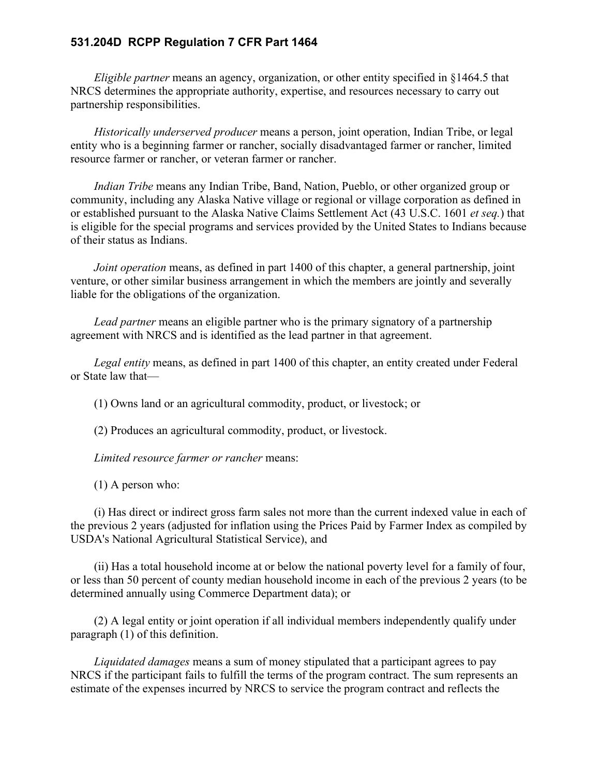*Eligible partner* means an agency, organization, or other entity specified in §1464.5 that NRCS determines the appropriate authority, expertise, and resources necessary to carry out partnership responsibilities.

*Historically underserved producer* means a person, joint operation, Indian Tribe, or legal entity who is a beginning farmer or rancher, socially disadvantaged farmer or rancher, limited resource farmer or rancher, or veteran farmer or rancher.

*Indian Tribe* means any Indian Tribe, Band, Nation, Pueblo, or other organized group or community, including any Alaska Native village or regional or village corporation as defined in or established pursuant to the Alaska Native Claims Settlement Act (43 U.S.C. 1601 *et seq.*) that is eligible for the special programs and services provided by the United States to Indians because of their status as Indians.

*Joint operation* means, as defined in part 1400 of this chapter, a general partnership, joint venture, or other similar business arrangement in which the members are jointly and severally liable for the obligations of the organization.

*Lead partner* means an eligible partner who is the primary signatory of a partnership agreement with NRCS and is identified as the lead partner in that agreement.

*Legal entity* means, as defined in part 1400 of this chapter, an entity created under Federal or State law that—

(1) Owns land or an agricultural commodity, product, or livestock; or

(2) Produces an agricultural commodity, product, or livestock.

*Limited resource farmer or rancher* means:

(1) A person who:

(i) Has direct or indirect gross farm sales not more than the current indexed value in each of the previous 2 years (adjusted for inflation using the Prices Paid by Farmer Index as compiled by USDA's National Agricultural Statistical Service), and

(ii) Has a total household income at or below the national poverty level for a family of four, or less than 50 percent of county median household income in each of the previous 2 years (to be determined annually using Commerce Department data); or

(2) A legal entity or joint operation if all individual members independently qualify under paragraph (1) of this definition.

*Liquidated damages* means a sum of money stipulated that a participant agrees to pay NRCS if the participant fails to fulfill the terms of the program contract. The sum represents an estimate of the expenses incurred by NRCS to service the program contract and reflects the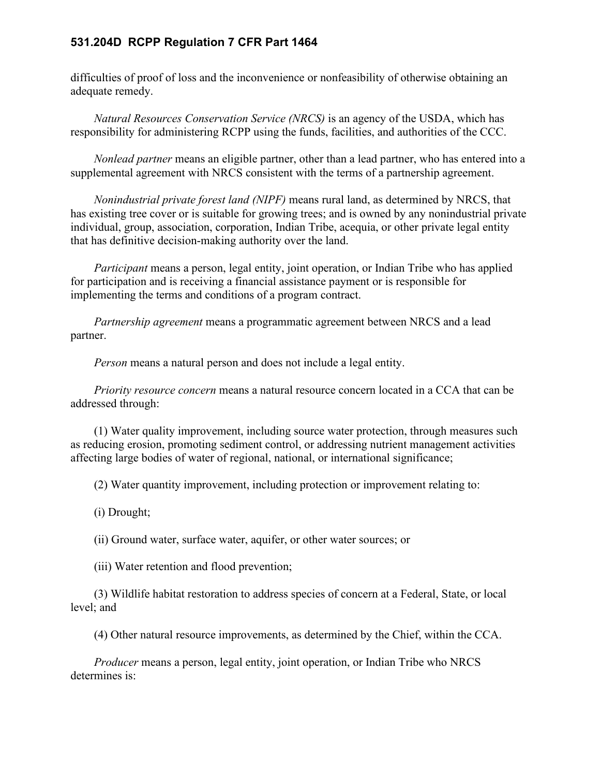difficulties of proof of loss and the inconvenience or nonfeasibility of otherwise obtaining an adequate remedy.

*Natural Resources Conservation Service (NRCS)* is an agency of the USDA, which has responsibility for administering RCPP using the funds, facilities, and authorities of the CCC.

*Nonlead partner* means an eligible partner, other than a lead partner, who has entered into a supplemental agreement with NRCS consistent with the terms of a partnership agreement.

*Nonindustrial private forest land (NIPF)* means rural land, as determined by NRCS, that has existing tree cover or is suitable for growing trees; and is owned by any nonindustrial private individual, group, association, corporation, Indian Tribe, acequia, or other private legal entity that has definitive decision-making authority over the land.

*Participant* means a person, legal entity, joint operation, or Indian Tribe who has applied for participation and is receiving a financial assistance payment or is responsible for implementing the terms and conditions of a program contract.

*Partnership agreement* means a programmatic agreement between NRCS and a lead partner.

*Person* means a natural person and does not include a legal entity.

*Priority resource concern* means a natural resource concern located in a CCA that can be addressed through:

(1) Water quality improvement, including source water protection, through measures such as reducing erosion, promoting sediment control, or addressing nutrient management activities affecting large bodies of water of regional, national, or international significance;

(2) Water quantity improvement, including protection or improvement relating to:

(i) Drought;

(ii) Ground water, surface water, aquifer, or other water sources; or

(iii) Water retention and flood prevention;

(3) Wildlife habitat restoration to address species of concern at a Federal, State, or local level; and

(4) Other natural resource improvements, as determined by the Chief, within the CCA.

*Producer* means a person, legal entity, joint operation, or Indian Tribe who NRCS determines is: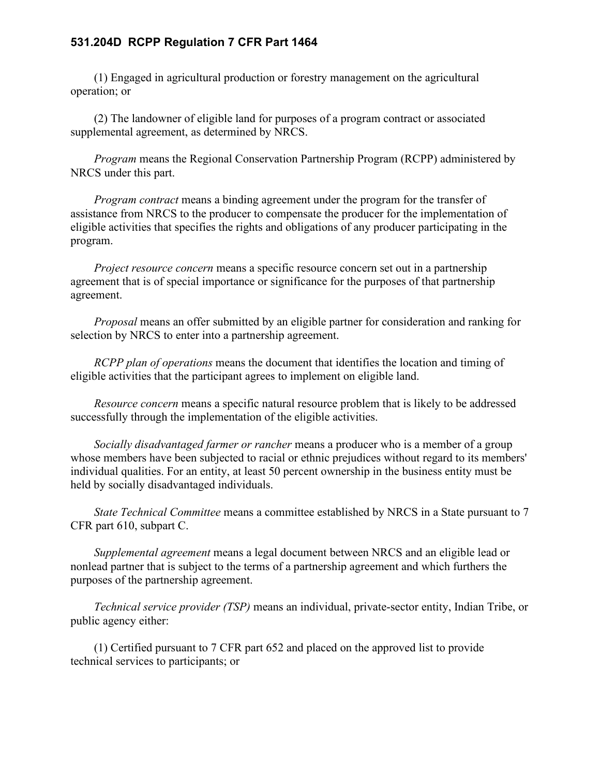(1) Engaged in agricultural production or forestry management on the agricultural operation; or

(2) The landowner of eligible land for purposes of a program contract or associated supplemental agreement, as determined by NRCS.

*Program* means the Regional Conservation Partnership Program (RCPP) administered by NRCS under this part.

*Program contract* means a binding agreement under the program for the transfer of assistance from NRCS to the producer to compensate the producer for the implementation of eligible activities that specifies the rights and obligations of any producer participating in the program.

*Project resource concern* means a specific resource concern set out in a partnership agreement that is of special importance or significance for the purposes of that partnership agreement.

*Proposal* means an offer submitted by an eligible partner for consideration and ranking for selection by NRCS to enter into a partnership agreement.

*RCPP plan of operations* means the document that identifies the location and timing of eligible activities that the participant agrees to implement on eligible land.

*Resource concern* means a specific natural resource problem that is likely to be addressed successfully through the implementation of the eligible activities.

*Socially disadvantaged farmer or rancher* means a producer who is a member of a group whose members have been subjected to racial or ethnic prejudices without regard to its members' individual qualities. For an entity, at least 50 percent ownership in the business entity must be held by socially disadvantaged individuals.

*State Technical Committee* means a committee established by NRCS in a State pursuant to 7 CFR part 610, subpart C.

*Supplemental agreement* means a legal document between NRCS and an eligible lead or nonlead partner that is subject to the terms of a partnership agreement and which furthers the purposes of the partnership agreement.

*Technical service provider (TSP)* means an individual, private-sector entity, Indian Tribe, or public agency either:

(1) Certified pursuant to 7 CFR part 652 and placed on the approved list to provide technical services to participants; or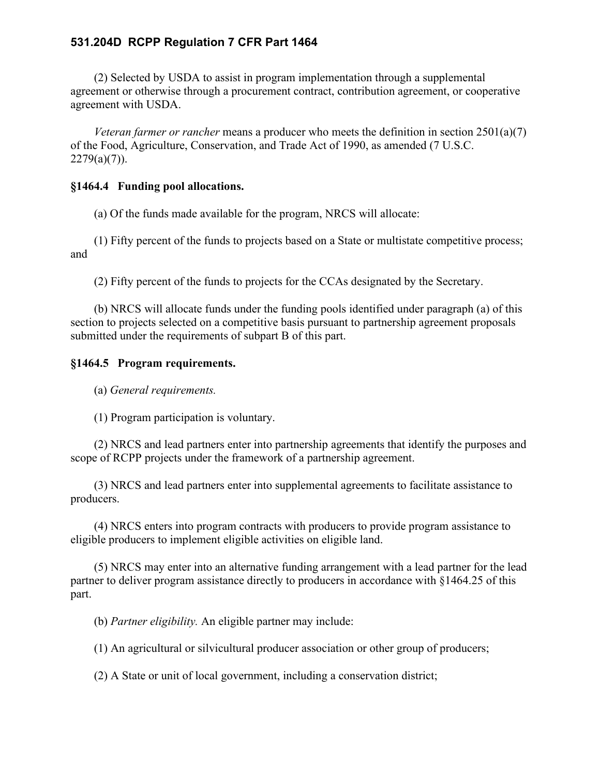(2) Selected by USDA to assist in program implementation through a supplemental agreement or otherwise through a procurement contract, contribution agreement, or cooperative agreement with USDA.

*Veteran farmer or rancher* means a producer who meets the definition in section 2501(a)(7) of the Food, Agriculture, Conservation, and Trade Act of 1990, as amended (7 U.S.C.  $2279(a)(7)$ ).

#### **§1464.4 Funding pool allocations.**

(a) Of the funds made available for the program, NRCS will allocate:

(1) Fifty percent of the funds to projects based on a State or multistate competitive process; and

(2) Fifty percent of the funds to projects for the CCAs designated by the Secretary.

(b) NRCS will allocate funds under the funding pools identified under paragraph (a) of this section to projects selected on a competitive basis pursuant to partnership agreement proposals submitted under the requirements of subpart B of this part.

#### **§1464.5 Program requirements.**

(a) *General requirements.*

(1) Program participation is voluntary.

(2) NRCS and lead partners enter into partnership agreements that identify the purposes and scope of RCPP projects under the framework of a partnership agreement.

(3) NRCS and lead partners enter into supplemental agreements to facilitate assistance to producers.

(4) NRCS enters into program contracts with producers to provide program assistance to eligible producers to implement eligible activities on eligible land.

(5) NRCS may enter into an alternative funding arrangement with a lead partner for the lead partner to deliver program assistance directly to producers in accordance with §1464.25 of this part.

(b) *Partner eligibility.* An eligible partner may include:

(1) An agricultural or silvicultural producer association or other group of producers;

(2) A State or unit of local government, including a conservation district;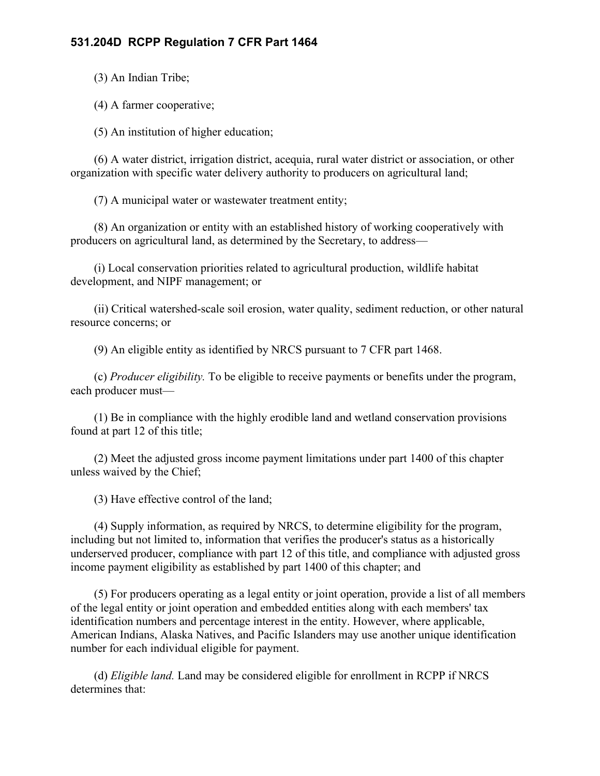(3) An Indian Tribe;

(4) A farmer cooperative;

(5) An institution of higher education;

(6) A water district, irrigation district, acequia, rural water district or association, or other organization with specific water delivery authority to producers on agricultural land;

(7) A municipal water or wastewater treatment entity;

(8) An organization or entity with an established history of working cooperatively with producers on agricultural land, as determined by the Secretary, to address—

(i) Local conservation priorities related to agricultural production, wildlife habitat development, and NIPF management; or

(ii) Critical watershed-scale soil erosion, water quality, sediment reduction, or other natural resource concerns; or

(9) An eligible entity as identified by NRCS pursuant to 7 CFR part 1468.

(c) *Producer eligibility.* To be eligible to receive payments or benefits under the program, each producer must—

(1) Be in compliance with the highly erodible land and wetland conservation provisions found at part 12 of this title;

(2) Meet the adjusted gross income payment limitations under part 1400 of this chapter unless waived by the Chief;

(3) Have effective control of the land;

(4) Supply information, as required by NRCS, to determine eligibility for the program, including but not limited to, information that verifies the producer's status as a historically underserved producer, compliance with part 12 of this title, and compliance with adjusted gross income payment eligibility as established by part 1400 of this chapter; and

(5) For producers operating as a legal entity or joint operation, provide a list of all members of the legal entity or joint operation and embedded entities along with each members' tax identification numbers and percentage interest in the entity. However, where applicable, American Indians, Alaska Natives, and Pacific Islanders may use another unique identification number for each individual eligible for payment.

(d) *Eligible land.* Land may be considered eligible for enrollment in RCPP if NRCS determines that: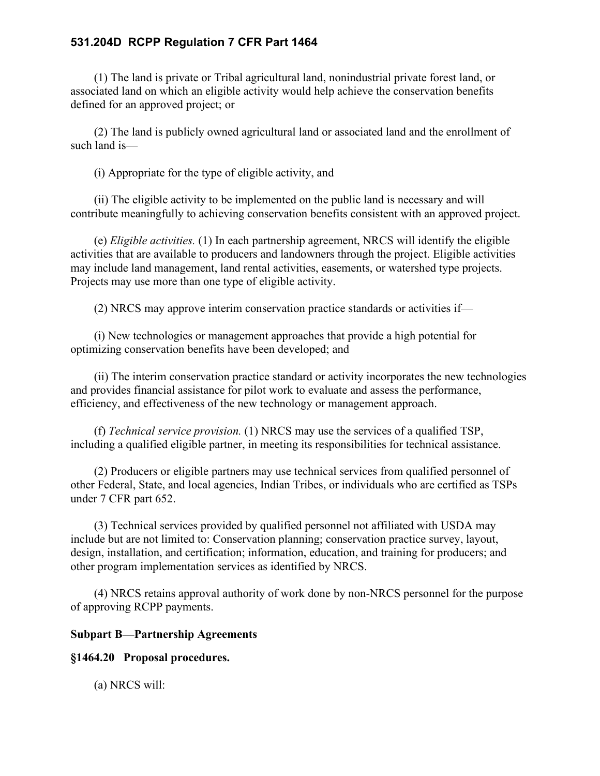(1) The land is private or Tribal agricultural land, nonindustrial private forest land, or associated land on which an eligible activity would help achieve the conservation benefits defined for an approved project; or

(2) The land is publicly owned agricultural land or associated land and the enrollment of such land is—

(i) Appropriate for the type of eligible activity, and

(ii) The eligible activity to be implemented on the public land is necessary and will contribute meaningfully to achieving conservation benefits consistent with an approved project.

(e) *Eligible activities.* (1) In each partnership agreement, NRCS will identify the eligible activities that are available to producers and landowners through the project. Eligible activities may include land management, land rental activities, easements, or watershed type projects. Projects may use more than one type of eligible activity.

(2) NRCS may approve interim conservation practice standards or activities if—

(i) New technologies or management approaches that provide a high potential for optimizing conservation benefits have been developed; and

(ii) The interim conservation practice standard or activity incorporates the new technologies and provides financial assistance for pilot work to evaluate and assess the performance, efficiency, and effectiveness of the new technology or management approach.

(f) *Technical service provision.* (1) NRCS may use the services of a qualified TSP, including a qualified eligible partner, in meeting its responsibilities for technical assistance.

(2) Producers or eligible partners may use technical services from qualified personnel of other Federal, State, and local agencies, Indian Tribes, or individuals who are certified as TSPs under 7 CFR part 652.

(3) Technical services provided by qualified personnel not affiliated with USDA may include but are not limited to: Conservation planning; conservation practice survey, layout, design, installation, and certification; information, education, and training for producers; and other program implementation services as identified by NRCS.

(4) NRCS retains approval authority of work done by non-NRCS personnel for the purpose of approving RCPP payments.

## **Subpart B—Partnership Agreements**

## **§1464.20 Proposal procedures.**

(a) NRCS will: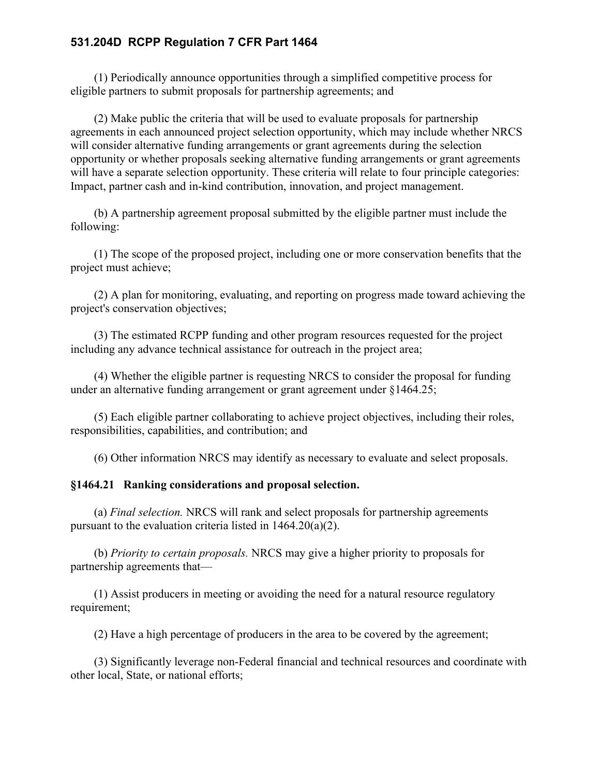(1) Periodically announce opportunities through a simplified competitive process for eligible partners to submit proposals for partnership agreements; and

(2) Make public the criteria that will be used to evaluate proposals for partnership agreements in each announced project selection opportunity, which may include whether NRCS will consider alternative funding arrangements or grant agreements during the selection opportunity or whether proposals seeking alternative funding arrangements or grant agreements will have a separate selection opportunity. These criteria will relate to four principle categories: Impact, partner cash and in-kind contribution, innovation, and project management.

(b) A partnership agreement proposal submitted by the eligible partner must include the following:

(1) The scope of the proposed project, including one or more conservation benefits that the project must achieve;

(2) A plan for monitoring, evaluating, and reporting on progress made toward achieving the project's conservation objectives;

(3) The estimated RCPP funding and other program resources requested for the project including any advance technical assistance for outreach in the project area;

(4) Whether the eligible partner is requesting NRCS to consider the proposal for funding under an alternative funding arrangement or grant agreement under §1464.25;

(5) Each eligible partner collaborating to achieve project objectives, including their roles, responsibilities, capabilities, and contribution; and

(6) Other information NRCS may identify as necessary to evaluate and select proposals.

#### **§1464.21 Ranking considerations and proposal selection.**

(a) *Final selection.* NRCS will rank and select proposals for partnership agreements pursuant to the evaluation criteria listed in 1464.20(a)(2).

(b) *Priority to certain proposals.* NRCS may give a higher priority to proposals for partnership agreements that—

(1) Assist producers in meeting or avoiding the need for a natural resource regulatory requirement;

(2) Have a high percentage of producers in the area to be covered by the agreement;

(3) Significantly leverage non-Federal financial and technical resources and coordinate with other local, State, or national efforts;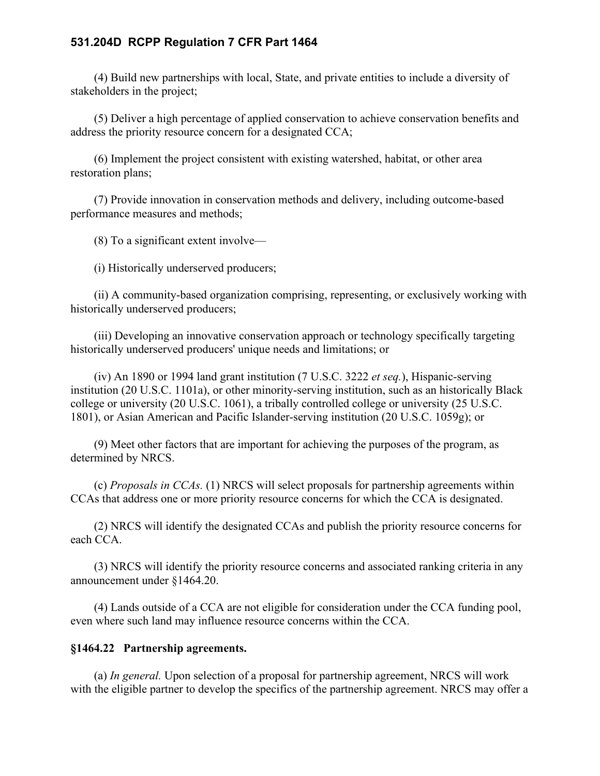(4) Build new partnerships with local, State, and private entities to include a diversity of stakeholders in the project;

(5) Deliver a high percentage of applied conservation to achieve conservation benefits and address the priority resource concern for a designated CCA;

(6) Implement the project consistent with existing watershed, habitat, or other area restoration plans;

(7) Provide innovation in conservation methods and delivery, including outcome-based performance measures and methods;

(8) To a significant extent involve—

(i) Historically underserved producers;

(ii) A community-based organization comprising, representing, or exclusively working with historically underserved producers;

(iii) Developing an innovative conservation approach or technology specifically targeting historically underserved producers' unique needs and limitations; or

(iv) An 1890 or 1994 land grant institution (7 U.S.C. 3222 *et seq.*), Hispanic-serving institution (20 U.S.C. 1101a), or other minority-serving institution, such as an historically Black college or university (20 U.S.C. 1061), a tribally controlled college or university (25 U.S.C. 1801), or Asian American and Pacific Islander-serving institution (20 U.S.C. 1059g); or

(9) Meet other factors that are important for achieving the purposes of the program, as determined by NRCS.

(c) *Proposals in CCAs.* (1) NRCS will select proposals for partnership agreements within CCAs that address one or more priority resource concerns for which the CCA is designated.

(2) NRCS will identify the designated CCAs and publish the priority resource concerns for each CCA.

(3) NRCS will identify the priority resource concerns and associated ranking criteria in any announcement under §1464.20.

(4) Lands outside of a CCA are not eligible for consideration under the CCA funding pool, even where such land may influence resource concerns within the CCA.

#### **§1464.22 Partnership agreements.**

(a) *In general.* Upon selection of a proposal for partnership agreement, NRCS will work with the eligible partner to develop the specifics of the partnership agreement. NRCS may offer a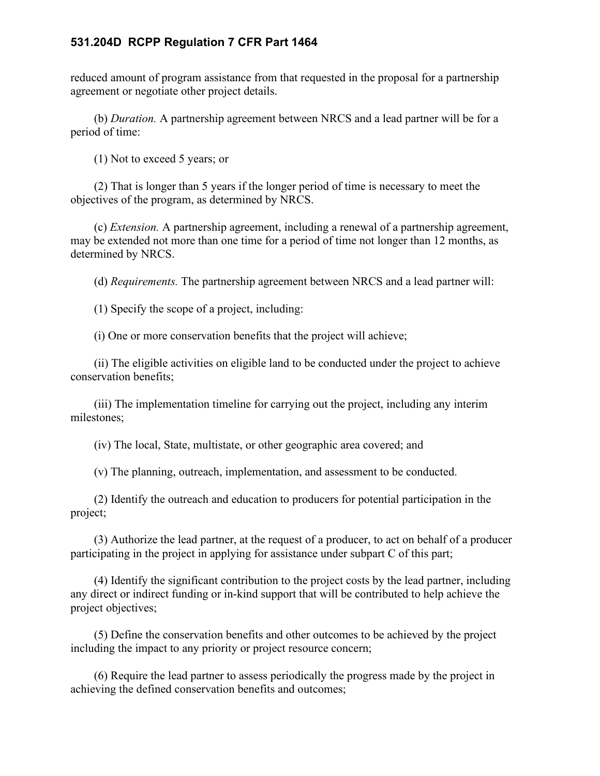reduced amount of program assistance from that requested in the proposal for a partnership agreement or negotiate other project details.

(b) *Duration.* A partnership agreement between NRCS and a lead partner will be for a period of time:

(1) Not to exceed 5 years; or

(2) That is longer than 5 years if the longer period of time is necessary to meet the objectives of the program, as determined by NRCS.

(c) *Extension.* A partnership agreement, including a renewal of a partnership agreement, may be extended not more than one time for a period of time not longer than 12 months, as determined by NRCS.

(d) *Requirements.* The partnership agreement between NRCS and a lead partner will:

(1) Specify the scope of a project, including:

(i) One or more conservation benefits that the project will achieve;

(ii) The eligible activities on eligible land to be conducted under the project to achieve conservation benefits;

(iii) The implementation timeline for carrying out the project, including any interim milestones;

(iv) The local, State, multistate, or other geographic area covered; and

(v) The planning, outreach, implementation, and assessment to be conducted.

(2) Identify the outreach and education to producers for potential participation in the project;

(3) Authorize the lead partner, at the request of a producer, to act on behalf of a producer participating in the project in applying for assistance under subpart C of this part;

(4) Identify the significant contribution to the project costs by the lead partner, including any direct or indirect funding or in-kind support that will be contributed to help achieve the project objectives;

(5) Define the conservation benefits and other outcomes to be achieved by the project including the impact to any priority or project resource concern;

(6) Require the lead partner to assess periodically the progress made by the project in achieving the defined conservation benefits and outcomes;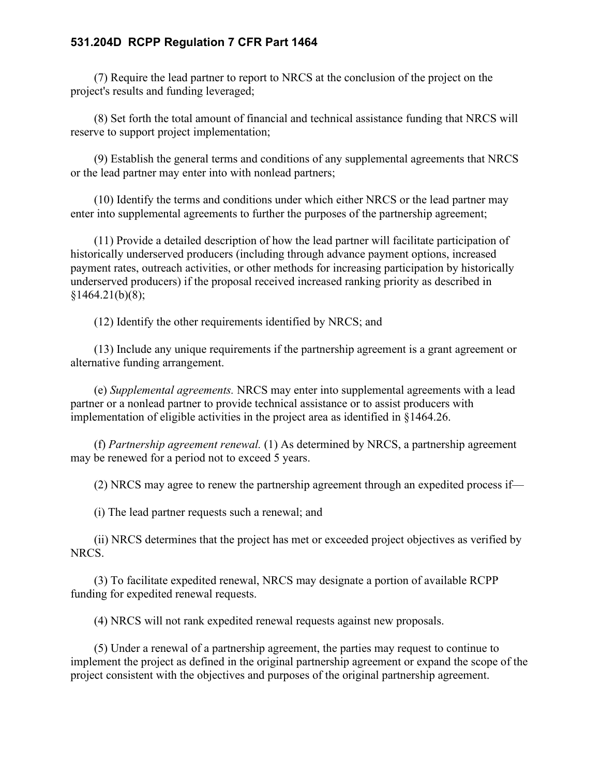(7) Require the lead partner to report to NRCS at the conclusion of the project on the project's results and funding leveraged;

(8) Set forth the total amount of financial and technical assistance funding that NRCS will reserve to support project implementation;

(9) Establish the general terms and conditions of any supplemental agreements that NRCS or the lead partner may enter into with nonlead partners;

(10) Identify the terms and conditions under which either NRCS or the lead partner may enter into supplemental agreements to further the purposes of the partnership agreement;

(11) Provide a detailed description of how the lead partner will facilitate participation of historically underserved producers (including through advance payment options, increased payment rates, outreach activities, or other methods for increasing participation by historically underserved producers) if the proposal received increased ranking priority as described in  $§1464.21(b)(8);$ 

(12) Identify the other requirements identified by NRCS; and

(13) Include any unique requirements if the partnership agreement is a grant agreement or alternative funding arrangement.

(e) *Supplemental agreements.* NRCS may enter into supplemental agreements with a lead partner or a nonlead partner to provide technical assistance or to assist producers with implementation of eligible activities in the project area as identified in §1464.26.

(f) *Partnership agreement renewal.* (1) As determined by NRCS, a partnership agreement may be renewed for a period not to exceed 5 years.

(2) NRCS may agree to renew the partnership agreement through an expedited process if—

(i) The lead partner requests such a renewal; and

(ii) NRCS determines that the project has met or exceeded project objectives as verified by NRCS.

(3) To facilitate expedited renewal, NRCS may designate a portion of available RCPP funding for expedited renewal requests.

(4) NRCS will not rank expedited renewal requests against new proposals.

(5) Under a renewal of a partnership agreement, the parties may request to continue to implement the project as defined in the original partnership agreement or expand the scope of the project consistent with the objectives and purposes of the original partnership agreement.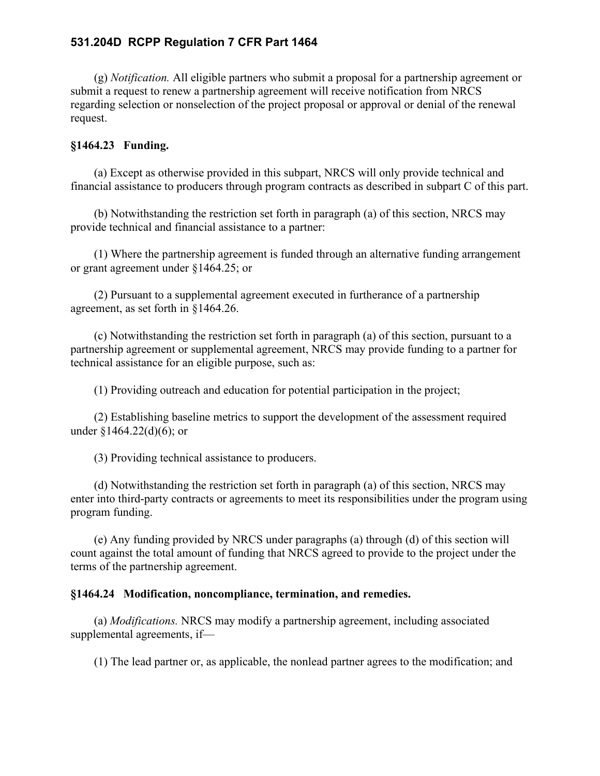(g) *Notification.* All eligible partners who submit a proposal for a partnership agreement or submit a request to renew a partnership agreement will receive notification from NRCS regarding selection or nonselection of the project proposal or approval or denial of the renewal request.

## **§1464.23 Funding.**

(a) Except as otherwise provided in this subpart, NRCS will only provide technical and financial assistance to producers through program contracts as described in subpart C of this part.

(b) Notwithstanding the restriction set forth in paragraph (a) of this section, NRCS may provide technical and financial assistance to a partner:

(1) Where the partnership agreement is funded through an alternative funding arrangement or grant agreement under §1464.25; or

(2) Pursuant to a supplemental agreement executed in furtherance of a partnership agreement, as set forth in §1464.26.

(c) Notwithstanding the restriction set forth in paragraph (a) of this section, pursuant to a partnership agreement or supplemental agreement, NRCS may provide funding to a partner for technical assistance for an eligible purpose, such as:

(1) Providing outreach and education for potential participation in the project;

(2) Establishing baseline metrics to support the development of the assessment required under §1464.22(d)(6); or

(3) Providing technical assistance to producers.

(d) Notwithstanding the restriction set forth in paragraph (a) of this section, NRCS may enter into third-party contracts or agreements to meet its responsibilities under the program using program funding.

(e) Any funding provided by NRCS under paragraphs (a) through (d) of this section will count against the total amount of funding that NRCS agreed to provide to the project under the terms of the partnership agreement.

## **§1464.24 Modification, noncompliance, termination, and remedies.**

(a) *Modifications.* NRCS may modify a partnership agreement, including associated supplemental agreements, if—

(1) The lead partner or, as applicable, the nonlead partner agrees to the modification; and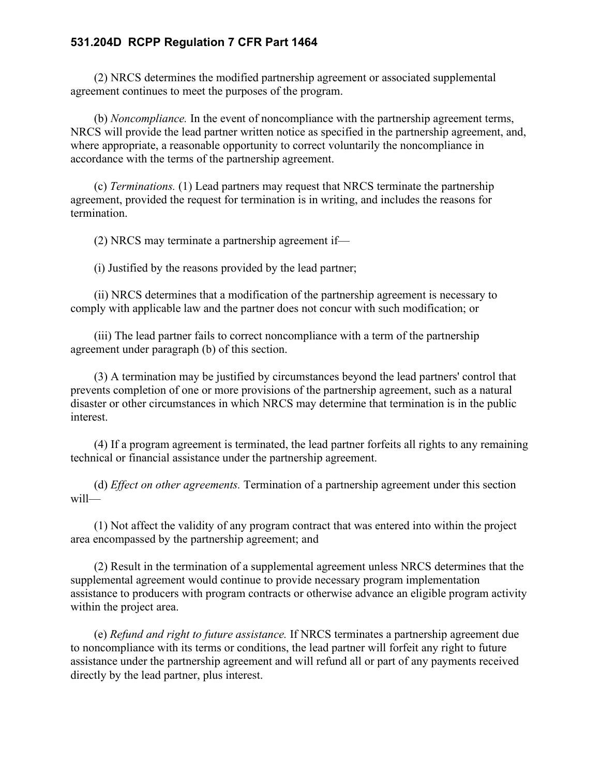(2) NRCS determines the modified partnership agreement or associated supplemental agreement continues to meet the purposes of the program.

(b) *Noncompliance.* In the event of noncompliance with the partnership agreement terms, NRCS will provide the lead partner written notice as specified in the partnership agreement, and, where appropriate, a reasonable opportunity to correct voluntarily the noncompliance in accordance with the terms of the partnership agreement.

(c) *Terminations.* (1) Lead partners may request that NRCS terminate the partnership agreement, provided the request for termination is in writing, and includes the reasons for termination.

(2) NRCS may terminate a partnership agreement if—

(i) Justified by the reasons provided by the lead partner;

(ii) NRCS determines that a modification of the partnership agreement is necessary to comply with applicable law and the partner does not concur with such modification; or

(iii) The lead partner fails to correct noncompliance with a term of the partnership agreement under paragraph (b) of this section.

(3) A termination may be justified by circumstances beyond the lead partners' control that prevents completion of one or more provisions of the partnership agreement, such as a natural disaster or other circumstances in which NRCS may determine that termination is in the public interest.

(4) If a program agreement is terminated, the lead partner forfeits all rights to any remaining technical or financial assistance under the partnership agreement.

(d) *Effect on other agreements.* Termination of a partnership agreement under this section will—

(1) Not affect the validity of any program contract that was entered into within the project area encompassed by the partnership agreement; and

(2) Result in the termination of a supplemental agreement unless NRCS determines that the supplemental agreement would continue to provide necessary program implementation assistance to producers with program contracts or otherwise advance an eligible program activity within the project area.

(e) *Refund and right to future assistance.* If NRCS terminates a partnership agreement due to noncompliance with its terms or conditions, the lead partner will forfeit any right to future assistance under the partnership agreement and will refund all or part of any payments received directly by the lead partner, plus interest.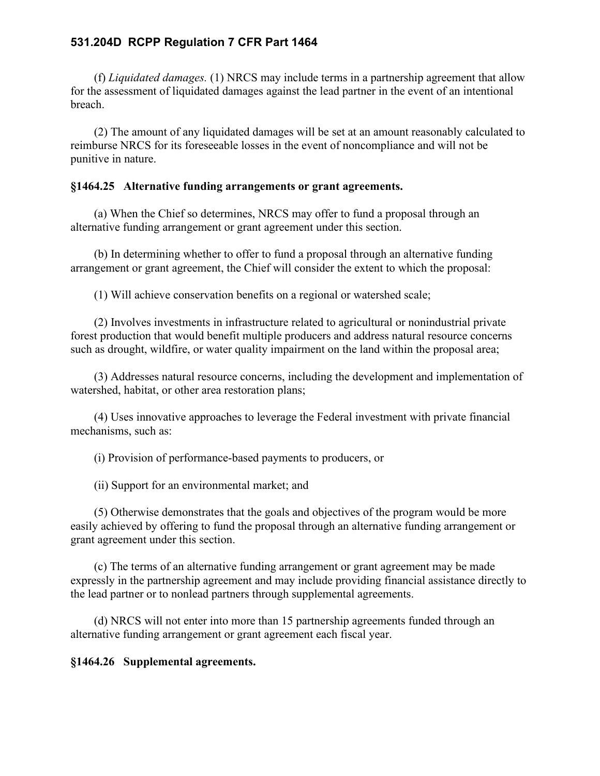(f) *Liquidated damages.* (1) NRCS may include terms in a partnership agreement that allow for the assessment of liquidated damages against the lead partner in the event of an intentional breach.

(2) The amount of any liquidated damages will be set at an amount reasonably calculated to reimburse NRCS for its foreseeable losses in the event of noncompliance and will not be punitive in nature.

#### **§1464.25 Alternative funding arrangements or grant agreements.**

(a) When the Chief so determines, NRCS may offer to fund a proposal through an alternative funding arrangement or grant agreement under this section.

(b) In determining whether to offer to fund a proposal through an alternative funding arrangement or grant agreement, the Chief will consider the extent to which the proposal:

(1) Will achieve conservation benefits on a regional or watershed scale;

(2) Involves investments in infrastructure related to agricultural or nonindustrial private forest production that would benefit multiple producers and address natural resource concerns such as drought, wildfire, or water quality impairment on the land within the proposal area;

(3) Addresses natural resource concerns, including the development and implementation of watershed, habitat, or other area restoration plans;

(4) Uses innovative approaches to leverage the Federal investment with private financial mechanisms, such as:

(i) Provision of performance-based payments to producers, or

(ii) Support for an environmental market; and

(5) Otherwise demonstrates that the goals and objectives of the program would be more easily achieved by offering to fund the proposal through an alternative funding arrangement or grant agreement under this section.

(c) The terms of an alternative funding arrangement or grant agreement may be made expressly in the partnership agreement and may include providing financial assistance directly to the lead partner or to nonlead partners through supplemental agreements.

(d) NRCS will not enter into more than 15 partnership agreements funded through an alternative funding arrangement or grant agreement each fiscal year.

**§1464.26 Supplemental agreements.**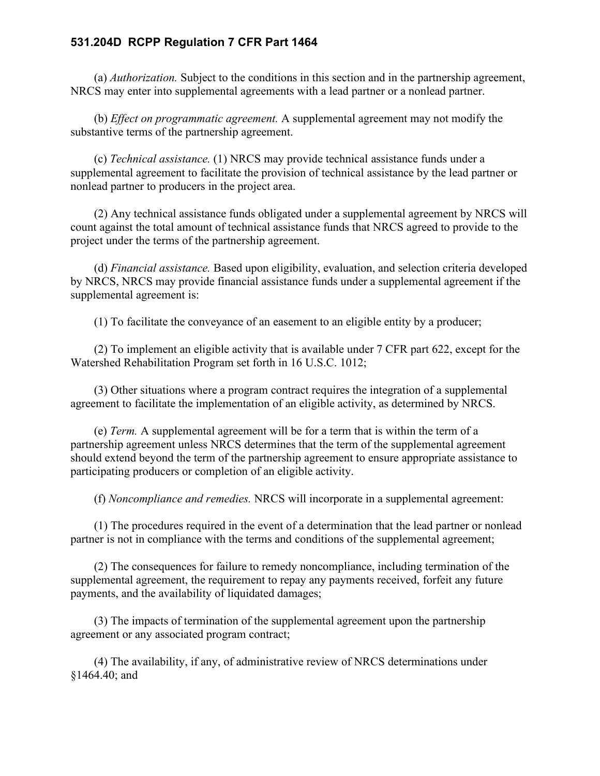(a) *Authorization.* Subject to the conditions in this section and in the partnership agreement, NRCS may enter into supplemental agreements with a lead partner or a nonlead partner.

(b) *Effect on programmatic agreement.* A supplemental agreement may not modify the substantive terms of the partnership agreement.

(c) *Technical assistance.* (1) NRCS may provide technical assistance funds under a supplemental agreement to facilitate the provision of technical assistance by the lead partner or nonlead partner to producers in the project area.

(2) Any technical assistance funds obligated under a supplemental agreement by NRCS will count against the total amount of technical assistance funds that NRCS agreed to provide to the project under the terms of the partnership agreement.

(d) *Financial assistance.* Based upon eligibility, evaluation, and selection criteria developed by NRCS, NRCS may provide financial assistance funds under a supplemental agreement if the supplemental agreement is:

(1) To facilitate the conveyance of an easement to an eligible entity by a producer;

(2) To implement an eligible activity that is available under 7 CFR part 622, except for the Watershed Rehabilitation Program set forth in 16 U.S.C. 1012;

(3) Other situations where a program contract requires the integration of a supplemental agreement to facilitate the implementation of an eligible activity, as determined by NRCS.

(e) *Term.* A supplemental agreement will be for a term that is within the term of a partnership agreement unless NRCS determines that the term of the supplemental agreement should extend beyond the term of the partnership agreement to ensure appropriate assistance to participating producers or completion of an eligible activity.

(f) *Noncompliance and remedies.* NRCS will incorporate in a supplemental agreement:

(1) The procedures required in the event of a determination that the lead partner or nonlead partner is not in compliance with the terms and conditions of the supplemental agreement;

(2) The consequences for failure to remedy noncompliance, including termination of the supplemental agreement, the requirement to repay any payments received, forfeit any future payments, and the availability of liquidated damages;

(3) The impacts of termination of the supplemental agreement upon the partnership agreement or any associated program contract;

(4) The availability, if any, of administrative review of NRCS determinations under §1464.40; and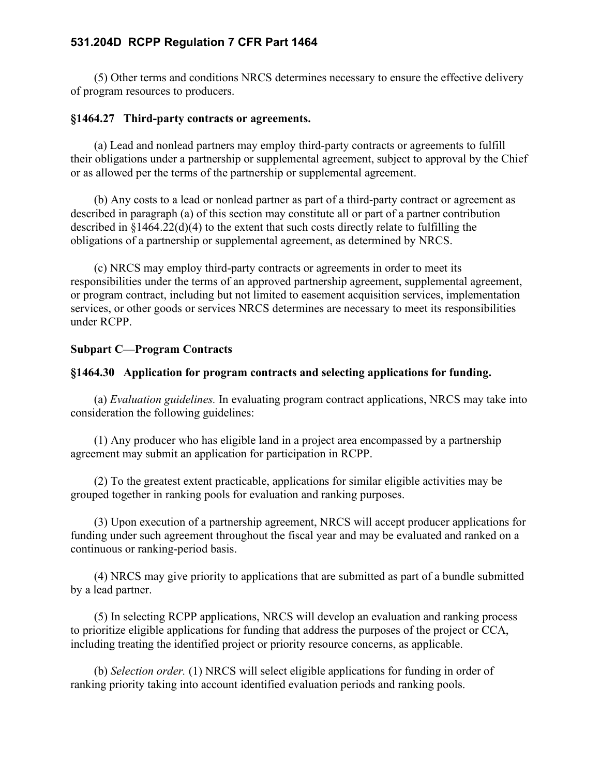(5) Other terms and conditions NRCS determines necessary to ensure the effective delivery of program resources to producers.

## **§1464.27 Third-party contracts or agreements.**

(a) Lead and nonlead partners may employ third-party contracts or agreements to fulfill their obligations under a partnership or supplemental agreement, subject to approval by the Chief or as allowed per the terms of the partnership or supplemental agreement.

(b) Any costs to a lead or nonlead partner as part of a third-party contract or agreement as described in paragraph (a) of this section may constitute all or part of a partner contribution described in §1464.22(d)(4) to the extent that such costs directly relate to fulfilling the obligations of a partnership or supplemental agreement, as determined by NRCS.

(c) NRCS may employ third-party contracts or agreements in order to meet its responsibilities under the terms of an approved partnership agreement, supplemental agreement, or program contract, including but not limited to easement acquisition services, implementation services, or other goods or services NRCS determines are necessary to meet its responsibilities under RCPP.

## **Subpart C—Program Contracts**

## **§1464.30 Application for program contracts and selecting applications for funding.**

(a) *Evaluation guidelines.* In evaluating program contract applications, NRCS may take into consideration the following guidelines:

(1) Any producer who has eligible land in a project area encompassed by a partnership agreement may submit an application for participation in RCPP.

(2) To the greatest extent practicable, applications for similar eligible activities may be grouped together in ranking pools for evaluation and ranking purposes.

(3) Upon execution of a partnership agreement, NRCS will accept producer applications for funding under such agreement throughout the fiscal year and may be evaluated and ranked on a continuous or ranking-period basis.

(4) NRCS may give priority to applications that are submitted as part of a bundle submitted by a lead partner.

(5) In selecting RCPP applications, NRCS will develop an evaluation and ranking process to prioritize eligible applications for funding that address the purposes of the project or CCA, including treating the identified project or priority resource concerns, as applicable.

(b) *Selection order.* (1) NRCS will select eligible applications for funding in order of ranking priority taking into account identified evaluation periods and ranking pools.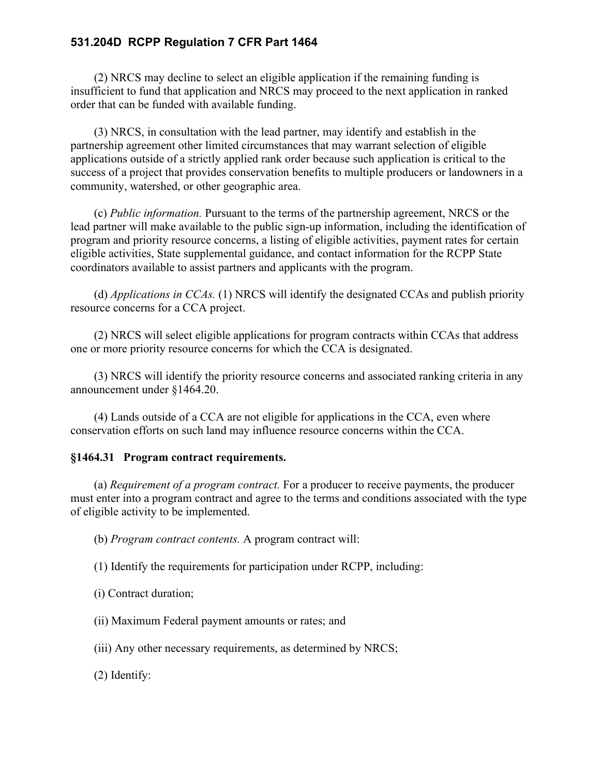(2) NRCS may decline to select an eligible application if the remaining funding is insufficient to fund that application and NRCS may proceed to the next application in ranked order that can be funded with available funding.

(3) NRCS, in consultation with the lead partner, may identify and establish in the partnership agreement other limited circumstances that may warrant selection of eligible applications outside of a strictly applied rank order because such application is critical to the success of a project that provides conservation benefits to multiple producers or landowners in a community, watershed, or other geographic area.

(c) *Public information.* Pursuant to the terms of the partnership agreement, NRCS or the lead partner will make available to the public sign-up information, including the identification of program and priority resource concerns, a listing of eligible activities, payment rates for certain eligible activities, State supplemental guidance, and contact information for the RCPP State coordinators available to assist partners and applicants with the program.

(d) *Applications in CCAs.* (1) NRCS will identify the designated CCAs and publish priority resource concerns for a CCA project.

(2) NRCS will select eligible applications for program contracts within CCAs that address one or more priority resource concerns for which the CCA is designated.

(3) NRCS will identify the priority resource concerns and associated ranking criteria in any announcement under §1464.20.

(4) Lands outside of a CCA are not eligible for applications in the CCA, even where conservation efforts on such land may influence resource concerns within the CCA.

## **§1464.31 Program contract requirements.**

(a) *Requirement of a program contract.* For a producer to receive payments, the producer must enter into a program contract and agree to the terms and conditions associated with the type of eligible activity to be implemented.

(b) *Program contract contents.* A program contract will:

(1) Identify the requirements for participation under RCPP, including:

(i) Contract duration;

(ii) Maximum Federal payment amounts or rates; and

(iii) Any other necessary requirements, as determined by NRCS;

(2) Identify: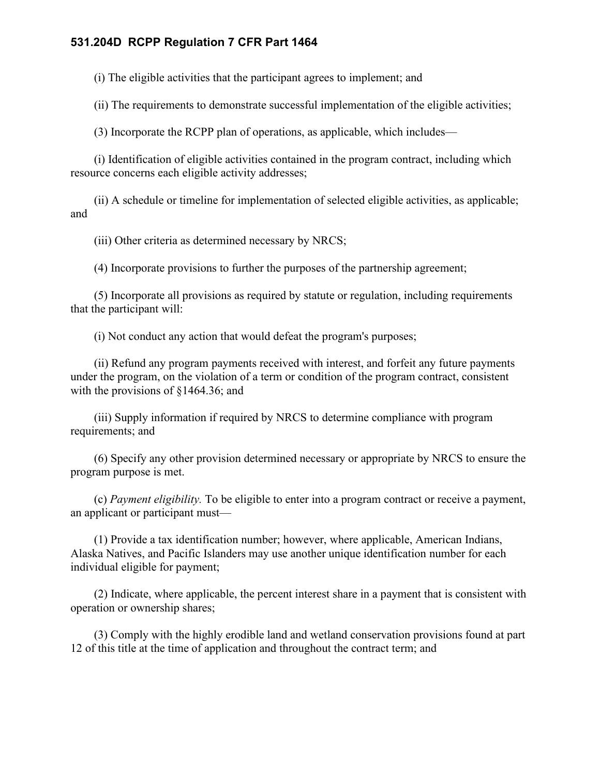(i) The eligible activities that the participant agrees to implement; and

(ii) The requirements to demonstrate successful implementation of the eligible activities;

(3) Incorporate the RCPP plan of operations, as applicable, which includes—

(i) Identification of eligible activities contained in the program contract, including which resource concerns each eligible activity addresses;

(ii) A schedule or timeline for implementation of selected eligible activities, as applicable; and

(iii) Other criteria as determined necessary by NRCS;

(4) Incorporate provisions to further the purposes of the partnership agreement;

(5) Incorporate all provisions as required by statute or regulation, including requirements that the participant will:

(i) Not conduct any action that would defeat the program's purposes;

(ii) Refund any program payments received with interest, and forfeit any future payments under the program, on the violation of a term or condition of the program contract, consistent with the provisions of  $$1464.36$ ; and

(iii) Supply information if required by NRCS to determine compliance with program requirements; and

(6) Specify any other provision determined necessary or appropriate by NRCS to ensure the program purpose is met.

(c) *Payment eligibility.* To be eligible to enter into a program contract or receive a payment, an applicant or participant must—

(1) Provide a tax identification number; however, where applicable, American Indians, Alaska Natives, and Pacific Islanders may use another unique identification number for each individual eligible for payment;

(2) Indicate, where applicable, the percent interest share in a payment that is consistent with operation or ownership shares;

(3) Comply with the highly erodible land and wetland conservation provisions found at part 12 of this title at the time of application and throughout the contract term; and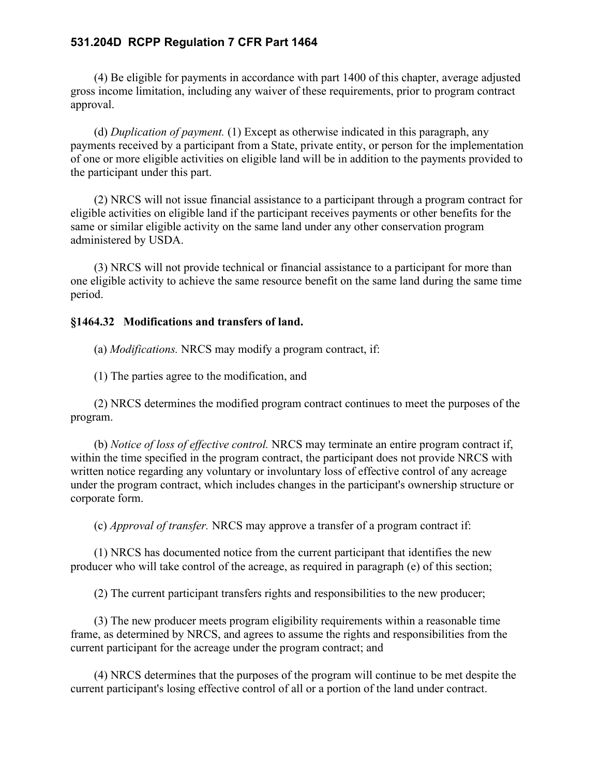(4) Be eligible for payments in accordance with part 1400 of this chapter, average adjusted gross income limitation, including any waiver of these requirements, prior to program contract approval.

(d) *Duplication of payment.* (1) Except as otherwise indicated in this paragraph, any payments received by a participant from a State, private entity, or person for the implementation of one or more eligible activities on eligible land will be in addition to the payments provided to the participant under this part.

(2) NRCS will not issue financial assistance to a participant through a program contract for eligible activities on eligible land if the participant receives payments or other benefits for the same or similar eligible activity on the same land under any other conservation program administered by USDA.

(3) NRCS will not provide technical or financial assistance to a participant for more than one eligible activity to achieve the same resource benefit on the same land during the same time period.

#### **§1464.32 Modifications and transfers of land.**

(a) *Modifications.* NRCS may modify a program contract, if:

(1) The parties agree to the modification, and

(2) NRCS determines the modified program contract continues to meet the purposes of the program.

(b) *Notice of loss of effective control.* NRCS may terminate an entire program contract if, within the time specified in the program contract, the participant does not provide NRCS with written notice regarding any voluntary or involuntary loss of effective control of any acreage under the program contract, which includes changes in the participant's ownership structure or corporate form.

(c) *Approval of transfer.* NRCS may approve a transfer of a program contract if:

(1) NRCS has documented notice from the current participant that identifies the new producer who will take control of the acreage, as required in paragraph (e) of this section;

(2) The current participant transfers rights and responsibilities to the new producer;

(3) The new producer meets program eligibility requirements within a reasonable time frame, as determined by NRCS, and agrees to assume the rights and responsibilities from the current participant for the acreage under the program contract; and

(4) NRCS determines that the purposes of the program will continue to be met despite the current participant's losing effective control of all or a portion of the land under contract.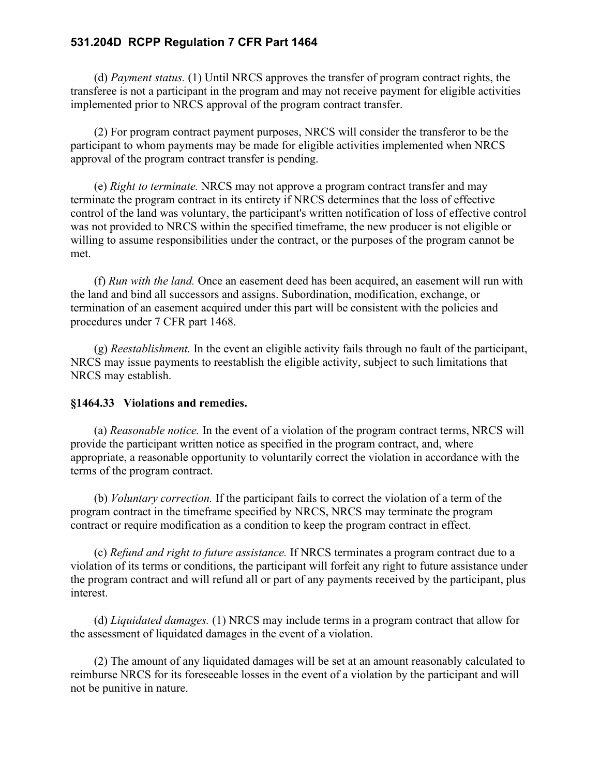(d) *Payment status.* (1) Until NRCS approves the transfer of program contract rights, the transferee is not a participant in the program and may not receive payment for eligible activities implemented prior to NRCS approval of the program contract transfer.

(2) For program contract payment purposes, NRCS will consider the transferor to be the participant to whom payments may be made for eligible activities implemented when NRCS approval of the program contract transfer is pending.

(e) *Right to terminate.* NRCS may not approve a program contract transfer and may terminate the program contract in its entirety if NRCS determines that the loss of effective control of the land was voluntary, the participant's written notification of loss of effective control was not provided to NRCS within the specified timeframe, the new producer is not eligible or willing to assume responsibilities under the contract, or the purposes of the program cannot be met.

(f) *Run with the land.* Once an easement deed has been acquired, an easement will run with the land and bind all successors and assigns. Subordination, modification, exchange, or termination of an easement acquired under this part will be consistent with the policies and procedures under 7 CFR part 1468.

(g) *Reestablishment.* In the event an eligible activity fails through no fault of the participant, NRCS may issue payments to reestablish the eligible activity, subject to such limitations that NRCS may establish.

## **§1464.33 Violations and remedies.**

(a) *Reasonable notice.* In the event of a violation of the program contract terms, NRCS will provide the participant written notice as specified in the program contract, and, where appropriate, a reasonable opportunity to voluntarily correct the violation in accordance with the terms of the program contract.

(b) *Voluntary correction.* If the participant fails to correct the violation of a term of the program contract in the timeframe specified by NRCS, NRCS may terminate the program contract or require modification as a condition to keep the program contract in effect.

(c) *Refund and right to future assistance.* If NRCS terminates a program contract due to a violation of its terms or conditions, the participant will forfeit any right to future assistance under the program contract and will refund all or part of any payments received by the participant, plus interest.

(d) *Liquidated damages.* (1) NRCS may include terms in a program contract that allow for the assessment of liquidated damages in the event of a violation.

(2) The amount of any liquidated damages will be set at an amount reasonably calculated to reimburse NRCS for its foreseeable losses in the event of a violation by the participant and will not be punitive in nature.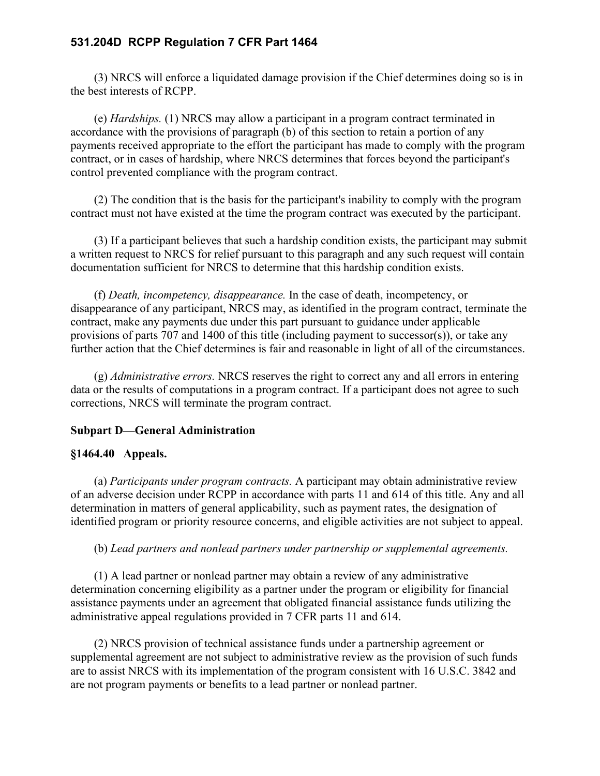(3) NRCS will enforce a liquidated damage provision if the Chief determines doing so is in the best interests of RCPP.

(e) *Hardships.* (1) NRCS may allow a participant in a program contract terminated in accordance with the provisions of paragraph (b) of this section to retain a portion of any payments received appropriate to the effort the participant has made to comply with the program contract, or in cases of hardship, where NRCS determines that forces beyond the participant's control prevented compliance with the program contract.

(2) The condition that is the basis for the participant's inability to comply with the program contract must not have existed at the time the program contract was executed by the participant.

(3) If a participant believes that such a hardship condition exists, the participant may submit a written request to NRCS for relief pursuant to this paragraph and any such request will contain documentation sufficient for NRCS to determine that this hardship condition exists.

(f) *Death, incompetency, disappearance.* In the case of death, incompetency, or disappearance of any participant, NRCS may, as identified in the program contract, terminate the contract, make any payments due under this part pursuant to guidance under applicable provisions of parts 707 and 1400 of this title (including payment to successor(s)), or take any further action that the Chief determines is fair and reasonable in light of all of the circumstances.

(g) *Administrative errors.* NRCS reserves the right to correct any and all errors in entering data or the results of computations in a program contract. If a participant does not agree to such corrections, NRCS will terminate the program contract.

## **Subpart D—General Administration**

## **§1464.40 Appeals.**

(a) *Participants under program contracts.* A participant may obtain administrative review of an adverse decision under RCPP in accordance with parts 11 and 614 of this title. Any and all determination in matters of general applicability, such as payment rates, the designation of identified program or priority resource concerns, and eligible activities are not subject to appeal.

## (b) *Lead partners and nonlead partners under partnership or supplemental agreements.*

(1) A lead partner or nonlead partner may obtain a review of any administrative determination concerning eligibility as a partner under the program or eligibility for financial assistance payments under an agreement that obligated financial assistance funds utilizing the administrative appeal regulations provided in 7 CFR parts 11 and 614.

(2) NRCS provision of technical assistance funds under a partnership agreement or supplemental agreement are not subject to administrative review as the provision of such funds are to assist NRCS with its implementation of the program consistent with 16 U.S.C. 3842 and are not program payments or benefits to a lead partner or nonlead partner.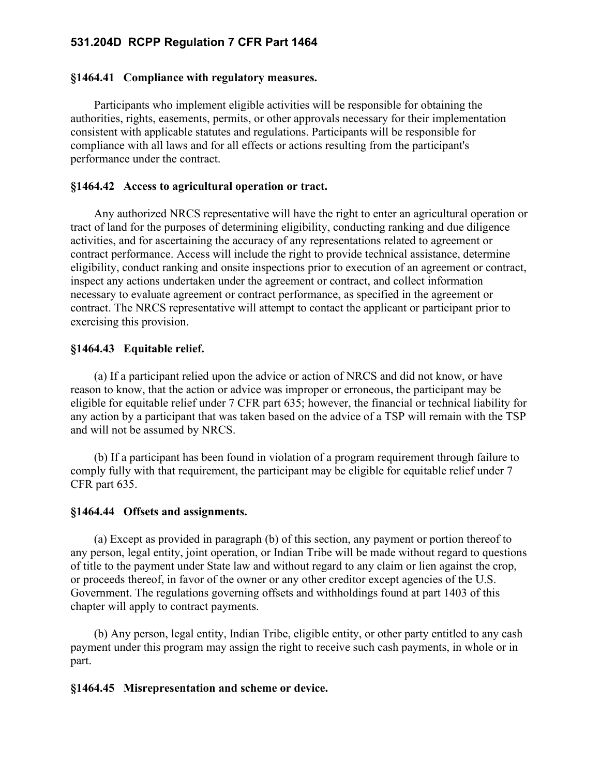#### **§1464.41 Compliance with regulatory measures.**

Participants who implement eligible activities will be responsible for obtaining the authorities, rights, easements, permits, or other approvals necessary for their implementation consistent with applicable statutes and regulations. Participants will be responsible for compliance with all laws and for all effects or actions resulting from the participant's performance under the contract.

#### **§1464.42 Access to agricultural operation or tract.**

Any authorized NRCS representative will have the right to enter an agricultural operation or tract of land for the purposes of determining eligibility, conducting ranking and due diligence activities, and for ascertaining the accuracy of any representations related to agreement or contract performance. Access will include the right to provide technical assistance, determine eligibility, conduct ranking and onsite inspections prior to execution of an agreement or contract, inspect any actions undertaken under the agreement or contract, and collect information necessary to evaluate agreement or contract performance, as specified in the agreement or contract. The NRCS representative will attempt to contact the applicant or participant prior to exercising this provision.

#### **§1464.43 Equitable relief.**

(a) If a participant relied upon the advice or action of NRCS and did not know, or have reason to know, that the action or advice was improper or erroneous, the participant may be eligible for equitable relief under 7 CFR part 635; however, the financial or technical liability for any action by a participant that was taken based on the advice of a TSP will remain with the TSP and will not be assumed by NRCS.

(b) If a participant has been found in violation of a program requirement through failure to comply fully with that requirement, the participant may be eligible for equitable relief under 7 CFR part 635.

#### **§1464.44 Offsets and assignments.**

(a) Except as provided in paragraph (b) of this section, any payment or portion thereof to any person, legal entity, joint operation, or Indian Tribe will be made without regard to questions of title to the payment under State law and without regard to any claim or lien against the crop, or proceeds thereof, in favor of the owner or any other creditor except agencies of the U.S. Government. The regulations governing offsets and withholdings found at part 1403 of this chapter will apply to contract payments.

(b) Any person, legal entity, Indian Tribe, eligible entity, or other party entitled to any cash payment under this program may assign the right to receive such cash payments, in whole or in part.

#### **§1464.45 Misrepresentation and scheme or device.**